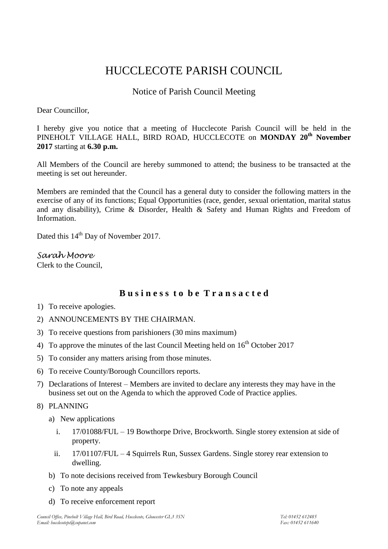# HUCCLECOTE PARISH COUNCIL

# Notice of Parish Council Meeting

Dear Councillor,

I hereby give you notice that a meeting of Hucclecote Parish Council will be held in the PINEHOLT VILLAGE HALL, BIRD ROAD, HUCCLECOTE on **MONDAY 20th November 2017** starting at **6.30 p.m.**

All Members of the Council are hereby summoned to attend; the business to be transacted at the meeting is set out hereunder.

Members are reminded that the Council has a general duty to consider the following matters in the exercise of any of its functions; Equal Opportunities (race, gender, sexual orientation, marital status and any disability), Crime & Disorder, Health & Safety and Human Rights and Freedom of Information.

Dated this 14<sup>th</sup> Day of November 2017.

## *Sarah Moore*

Clerk to the Council,

# **B u s i n e s s t o b e T r a n s a c t e d**

- 1) To receive apologies.
- 2) ANNOUNCEMENTS BY THE CHAIRMAN.
- 3) To receive questions from parishioners (30 mins maximum)
- 4) To approve the minutes of the last Council Meeting held on  $16<sup>th</sup>$  October 2017
- 5) To consider any matters arising from those minutes.
- 6) To receive County/Borough Councillors reports.
- 7) Declarations of Interest Members are invited to declare any interests they may have in the business set out on the Agenda to which the approved Code of Practice applies.

## 8) PLANNING

- a) New applications
	- i. 17/01088/FUL 19 Bowthorpe Drive, Brockworth. Single storey extension at side of property.
	- ii. 17/01107/FUL 4 Squirrels Run, Sussex Gardens. Single storey rear extension to dwelling.
- b) To note decisions received from Tewkesbury Borough Council
- c) To note any appeals
- d) To receive enforcement report